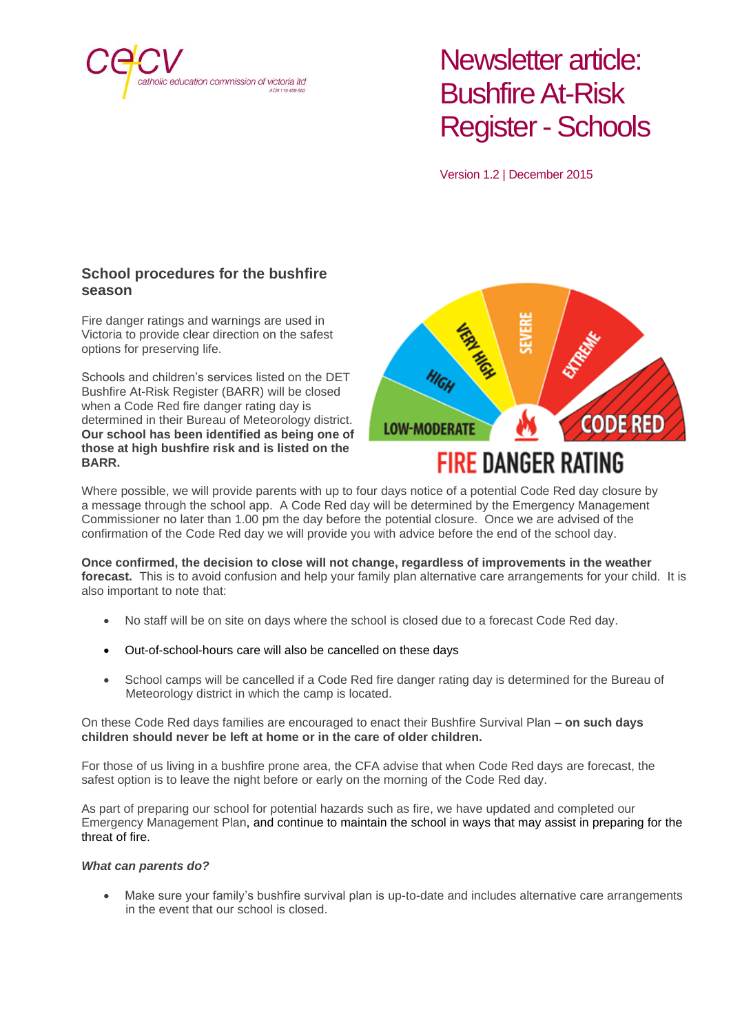

# Newsletter article: Bushfire At-Risk Register-Schools

Version 1.2 | December 2015

### **School procedures for the bushfire season**

Fire danger ratings and warnings are used in Victoria to provide clear direction on the safest options for preserving life.

Schools and children's services listed on the DET Bushfire At-Risk Register (BARR) will be closed when a Code Red fire danger rating day is determined in their Bureau of Meteorology district. **Our school has been identified as being one of those at high bushfire risk and is listed on the BARR.**

CODE RED **LOW-MODERATE** 

## **FIRE DANGER RATING**

Where possible, we will provide parents with up to four days notice of a potential Code Red day closure by a message through the school app. A Code Red day will be determined by the Emergency Management Commissioner no later than 1.00 pm the day before the potential closure. Once we are advised of the confirmation of the Code Red day we will provide you with advice before the end of the school day.

**Once confirmed, the decision to close will not change, regardless of improvements in the weather forecast.** This is to avoid confusion and help your family plan alternative care arrangements for your child. It is also important to note that:

- No staff will be on site on days where the school is closed due to a forecast Code Red day.
- Out-of-school-hours care will also be cancelled on these days
- School camps will be cancelled if a Code Red fire danger rating day is determined for the Bureau of Meteorology district in which the camp is located.

#### On these Code Red days families are encouraged to enact their Bushfire Survival Plan – **on such days children should never be left at home or in the care of older children.**

For those of us living in a bushfire prone area, the CFA advise that when Code Red days are forecast, the safest option is to leave the night before or early on the morning of the Code Red day.

As part of preparing our school for potential hazards such as fire, we have updated and completed our Emergency Management Plan, and continue to maintain the school in ways that may assist in preparing for the threat of fire.

### *What can parents do?*

• Make sure your family's bushfire survival plan is up-to-date and includes alternative care arrangements in the event that our school is closed.